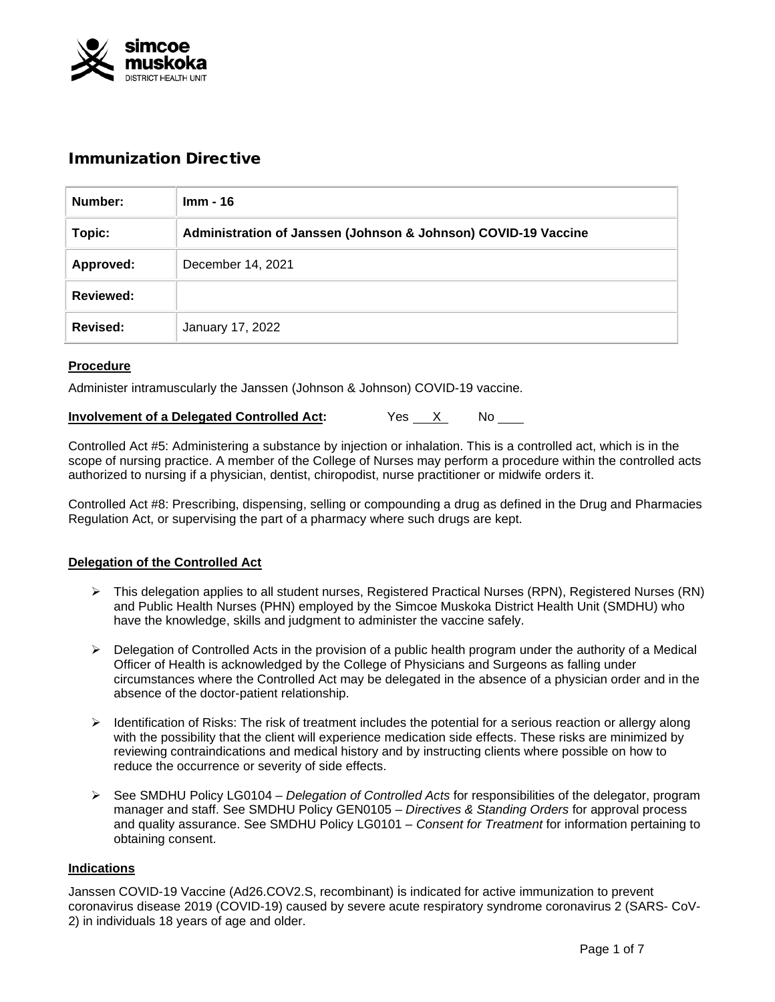

# Immunization Directive

| Number:          | <b>Imm - 16</b>                                                |
|------------------|----------------------------------------------------------------|
| Topic:           | Administration of Janssen (Johnson & Johnson) COVID-19 Vaccine |
| Approved:        | December 14, 2021                                              |
| <b>Reviewed:</b> |                                                                |
| Revised:         | January 17, 2022                                               |

# **Procedure**

Administer intramuscularly the Janssen (Johnson & Johnson) COVID-19 vaccine.

|  | <b>Involvement of a Delegated Controlled Act:</b> | Yes |  | No |  |
|--|---------------------------------------------------|-----|--|----|--|
|--|---------------------------------------------------|-----|--|----|--|

Controlled Act #5: Administering a substance by injection or inhalation. This is a controlled act, which is in the scope of nursing practice. A member of the College of Nurses may perform a procedure within the controlled acts authorized to nursing if a physician, dentist, chiropodist, nurse practitioner or midwife orders it.

Controlled Act #8: Prescribing, dispensing, selling or compounding a drug as defined in the Drug and Pharmacies Regulation Act, or supervising the part of a pharmacy where such drugs are kept.

#### **Delegation of the Controlled Act**

- This delegation applies to all student nurses, Registered Practical Nurses (RPN), Registered Nurses (RN) and Public Health Nurses (PHN) employed by the Simcoe Muskoka District Health Unit (SMDHU) who have the knowledge, skills and judgment to administer the vaccine safely.
- $\triangleright$  Delegation of Controlled Acts in the provision of a public health program under the authority of a Medical Officer of Health is acknowledged by the College of Physicians and Surgeons as falling under circumstances where the Controlled Act may be delegated in the absence of a physician order and in the absence of the doctor-patient relationship.
- > Identification of Risks: The risk of treatment includes the potential for a serious reaction or allergy along with the possibility that the client will experience medication side effects. These risks are minimized by reviewing contraindications and medical history and by instructing clients where possible on how to reduce the occurrence or severity of side effects.
- See SMDHU Policy LG0104 *Delegation of Controlled Acts* for responsibilities of the delegator, program manager and staff. See SMDHU Policy GEN0105 – *Directives & Standing Orders* for approval process and quality assurance. See SMDHU Policy LG0101 – *Consent for Treatment* for information pertaining to obtaining consent.

#### **Indications**

Janssen COVID-19 Vaccine (Ad26.COV2.S, recombinant) is indicated for active immunization to prevent coronavirus disease 2019 (COVID-19) caused by severe acute respiratory syndrome coronavirus 2 (SARS- CoV-2) in individuals 18 years of age and older.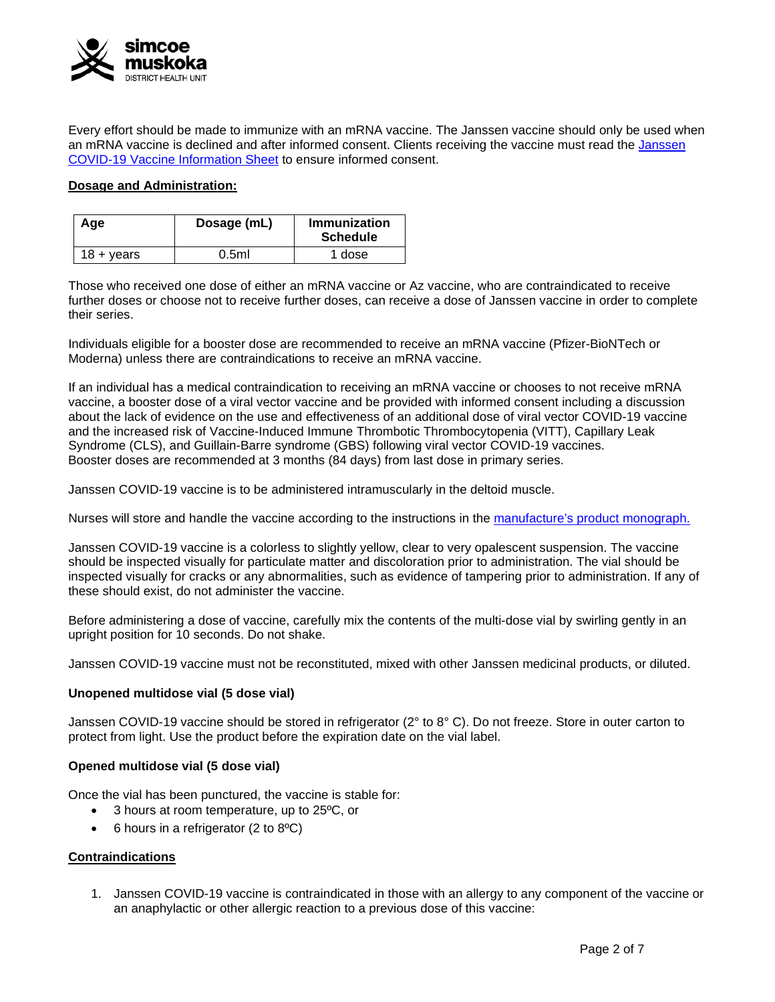

Every effort should be made to immunize with an mRNA vaccine. The Janssen vaccine should only be used when an mRNA vaccine is declined and after informed consent. Clients receiving the vaccine must read the Janssen COVID-19 [Vaccine Information Sheet](https://www.health.gov.on.ca/en/pro/programs/publichealth/coronavirus/docs/vaccine/COVID-19_Janssen_Vaccine.pdf) to ensure informed consent.

### **Dosage and Administration:**

| Age                   | Dosage (mL) | Immunization<br><b>Schedule</b> |
|-----------------------|-------------|---------------------------------|
| $18 + \mathrm{years}$ | 0.5ml       | 1 dose                          |

Those who received one dose of either an mRNA vaccine or Az vaccine, who are contraindicated to receive further doses or choose not to receive further doses, can receive a dose of Janssen vaccine in order to complete their series.

Individuals eligible for a booster dose are recommended to receive an mRNA vaccine (Pfizer-BioNTech or Moderna) unless there are contraindications to receive an mRNA vaccine.

If an individual has a medical contraindication to receiving an mRNA vaccine or chooses to not receive mRNA vaccine, a booster dose of a viral vector vaccine and be provided with informed consent including a discussion about the lack of evidence on the use and effectiveness of an additional dose of viral vector COVID-19 vaccine and the increased risk of Vaccine-Induced Immune Thrombotic Thrombocytopenia (VITT), Capillary Leak Syndrome (CLS), and Guillain-Barre syndrome (GBS) following viral vector COVID-19 vaccines. Booster doses are recommended at 3 months (84 days) from last dose in primary series.

Janssen COVID-19 vaccine is to be administered intramuscularly in the deltoid muscle.

Nurses will store and handle the vaccine according to the instructions in the [manufacture's product monograph.](https://covid-vaccine.canada.ca/info/pdf/janssen-covid-19-vaccine-pm-en.pdf)

Janssen COVID-19 vaccine is a colorless to slightly yellow, clear to very opalescent suspension. The vaccine should be inspected visually for particulate matter and discoloration prior to administration. The vial should be inspected visually for cracks or any abnormalities, such as evidence of tampering prior to administration. If any of these should exist, do not administer the vaccine.

Before administering a dose of vaccine, carefully mix the contents of the multi-dose vial by swirling gently in an upright position for 10 seconds. Do not shake.

Janssen COVID-19 vaccine must not be reconstituted, mixed with other Janssen medicinal products, or diluted.

#### **Unopened multidose vial (5 dose vial)**

Janssen COVID-19 vaccine should be stored in refrigerator (2° to 8° C). Do not freeze. Store in outer carton to protect from light. Use the product before the expiration date on the vial label.

#### **Opened multidose vial (5 dose vial)**

Once the vial has been punctured, the vaccine is stable for:

- 3 hours at room temperature, up to 25<sup>o</sup>C, or
- 6 hours in a refrigerator (2 to 8ºC)

#### **Contraindications**

1. Janssen COVID-19 vaccine is contraindicated in those with an allergy to any component of the vaccine or an anaphylactic or other allergic reaction to a previous dose of this vaccine: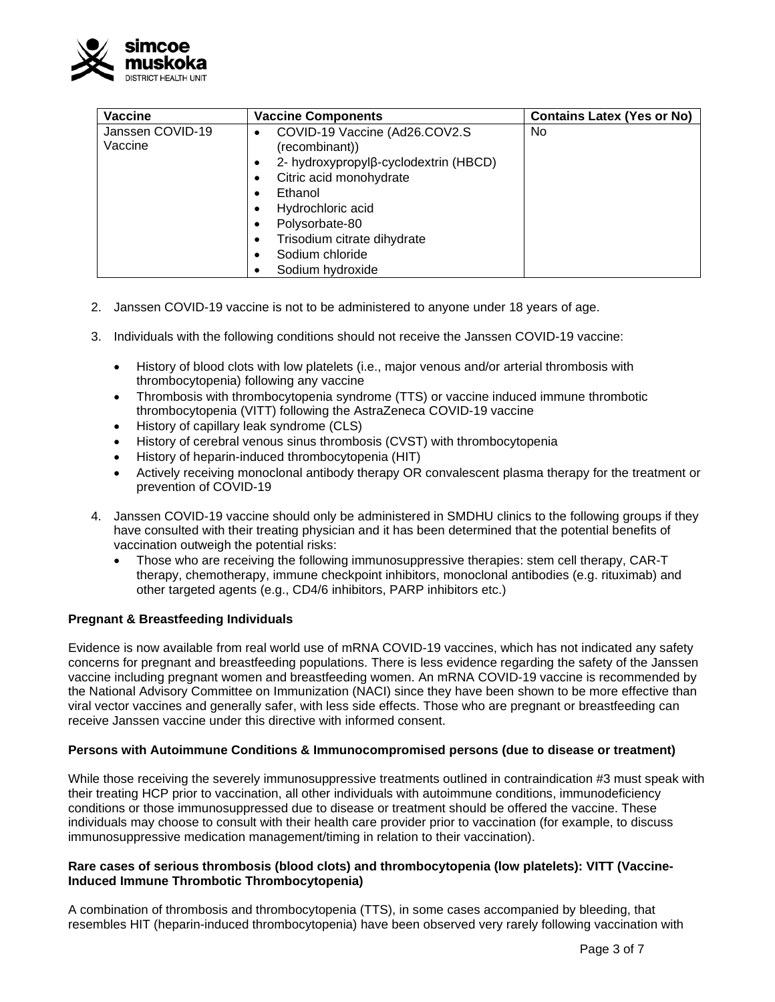

| <b>Vaccine</b>              | <b>Vaccine Components</b>                                                                                                       | <b>Contains Latex (Yes or No)</b> |
|-----------------------------|---------------------------------------------------------------------------------------------------------------------------------|-----------------------------------|
| Janssen COVID-19<br>Vaccine | COVID-19 Vaccine (Ad26.COV2.S)<br>(recombinant))<br>2- hydroxypropylβ-cyclodextrin (HBCD)<br>Citric acid monohydrate<br>Ethanol | <b>No</b>                         |
|                             | Hydrochloric acid<br>Polysorbate-80<br>Trisodium citrate dihydrate<br>Sodium chloride<br>Sodium hydroxide                       |                                   |

- 2. Janssen COVID-19 vaccine is not to be administered to anyone under 18 years of age.
- 3. Individuals with the following conditions should not receive the Janssen COVID-19 vaccine:
	- History of blood clots with low platelets (i.e., major venous and/or arterial thrombosis with thrombocytopenia) following any vaccine
	- Thrombosis with thrombocytopenia syndrome (TTS) or vaccine induced immune thrombotic thrombocytopenia (VITT) following the AstraZeneca COVID-19 vaccine
	- History of capillary leak syndrome (CLS)
	- History of cerebral venous sinus thrombosis (CVST) with thrombocytopenia
	- History of heparin-induced thrombocytopenia (HIT)
	- Actively receiving monoclonal antibody therapy OR convalescent plasma therapy for the treatment or prevention of COVID-19
- 4. Janssen COVID-19 vaccine should only be administered in SMDHU clinics to the following groups if they have consulted with their treating physician and it has been determined that the potential benefits of vaccination outweigh the potential risks:
	- Those who are receiving the following immunosuppressive therapies: stem cell therapy, CAR-T therapy, chemotherapy, immune checkpoint inhibitors, monoclonal antibodies (e.g. rituximab) and other targeted agents (e.g., CD4/6 inhibitors, PARP inhibitors etc.)

# **Pregnant & Breastfeeding Individuals**

Evidence is now available from real world use of mRNA COVID-19 vaccines, which has not indicated any safety concerns for pregnant and breastfeeding populations. There is less evidence regarding the safety of the Janssen vaccine including pregnant women and breastfeeding women. An mRNA COVID-19 vaccine is recommended by the National Advisory Committee on Immunization (NACI) since they have been shown to be more effective than viral vector vaccines and generally safer, with less side effects. Those who are pregnant or breastfeeding can receive Janssen vaccine under this directive with informed consent.

#### **Persons with Autoimmune Conditions & Immunocompromised persons (due to disease or treatment)**

While those receiving the severely immunosuppressive treatments outlined in contraindication #3 must speak with their treating HCP prior to vaccination, all other individuals with autoimmune conditions, immunodeficiency conditions or those immunosuppressed due to disease or treatment should be offered the vaccine. These individuals may choose to consult with their health care provider prior to vaccination (for example, to discuss immunosuppressive medication management/timing in relation to their vaccination).

#### **Rare cases of serious thrombosis (blood clots) and thrombocytopenia (low platelets): VITT (Vaccine-Induced Immune Thrombotic Thrombocytopenia)**

A combination of thrombosis and thrombocytopenia (TTS), in some cases accompanied by bleeding, that resembles HIT (heparin-induced thrombocytopenia) have been observed very rarely following vaccination with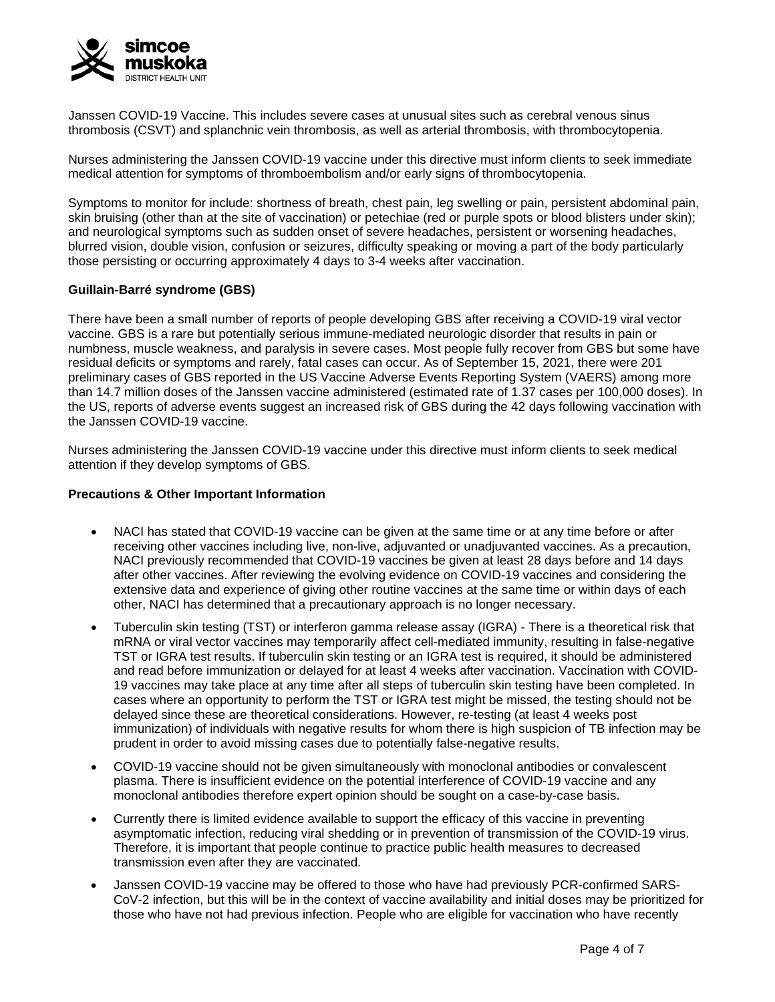

Janssen COVID-19 Vaccine. This includes severe cases at unusual sites such as cerebral venous sinus thrombosis (CSVT) and splanchnic vein thrombosis, as well as arterial thrombosis, with thrombocytopenia.

Nurses administering the Janssen COVID-19 vaccine under this directive must inform clients to seek immediate medical attention for symptoms of thromboembolism and/or early signs of thrombocytopenia.

Symptoms to monitor for include: shortness of breath, chest pain, leg swelling or pain, persistent abdominal pain, skin bruising (other than at the site of vaccination) or petechiae (red or purple spots or blood blisters under skin); and neurological symptoms such as sudden onset of severe headaches, persistent or worsening headaches, blurred vision, double vision, confusion or seizures, difficulty speaking or moving a part of the body particularly those persisting or occurring approximately 4 days to 3-4 weeks after vaccination.

# **Guillain-Barré syndrome (GBS)**

There have been a small number of reports of people developing GBS after receiving a COVID-19 viral vector vaccine. GBS is a rare but potentially serious immune-mediated neurologic disorder that results in pain or numbness, muscle weakness, and paralysis in severe cases. Most people fully recover from GBS but some have residual deficits or symptoms and rarely, fatal cases can occur. As of September 15, 2021, there were 201 preliminary cases of GBS reported in the US Vaccine Adverse Events Reporting System (VAERS) among more than 14.7 million doses of the Janssen vaccine administered (estimated rate of 1.37 cases per 100,000 doses). In the US, reports of adverse events suggest an increased risk of GBS during the 42 days following vaccination with the Janssen COVID-19 vaccine.

Nurses administering the Janssen COVID-19 vaccine under this directive must inform clients to seek medical attention if they develop symptoms of GBS.

#### **Precautions & Other Important Information**

- NACI has stated that COVID-19 vaccine can be given at the same time or at any time before or after receiving other vaccines including live, non-live, adjuvanted or unadjuvanted vaccines. As a precaution, NACI previously recommended that COVID-19 vaccines be given at least 28 days before and 14 days after other vaccines. After reviewing the evolving evidence on COVID-19 vaccines and considering the extensive data and experience of giving other routine vaccines at the same time or within days of each other, NACI has determined that a precautionary approach is no longer necessary.
- Tuberculin skin testing (TST) or interferon gamma release assay (IGRA) There is a theoretical risk that mRNA or viral vector vaccines may temporarily affect cell-mediated immunity, resulting in false-negative TST or IGRA test results. If tuberculin skin testing or an IGRA test is required, it should be administered and read before immunization or delayed for at least 4 weeks after vaccination. Vaccination with COVID-19 vaccines may take place at any time after all steps of tuberculin skin testing have been completed. In cases where an opportunity to perform the TST or IGRA test might be missed, the testing should not be delayed since these are theoretical considerations. However, re-testing (at least 4 weeks post immunization) of individuals with negative results for whom there is high suspicion of TB infection may be prudent in order to avoid missing cases due to potentially false-negative results.
- COVID-19 vaccine should not be given simultaneously with monoclonal antibodies or convalescent plasma. There is insufficient evidence on the potential interference of COVID-19 vaccine and any monoclonal antibodies therefore expert opinion should be sought on a case-by-case basis.
- Currently there is limited evidence available to support the efficacy of this vaccine in preventing asymptomatic infection, reducing viral shedding or in prevention of transmission of the COVID-19 virus. Therefore, it is important that people continue to practice public health measures to decreased transmission even after they are vaccinated.
- Janssen COVID-19 vaccine may be offered to those who have had previously PCR-confirmed SARS-CoV-2 infection, but this will be in the context of vaccine availability and initial doses may be prioritized for those who have not had previous infection. People who are eligible for vaccination who have recently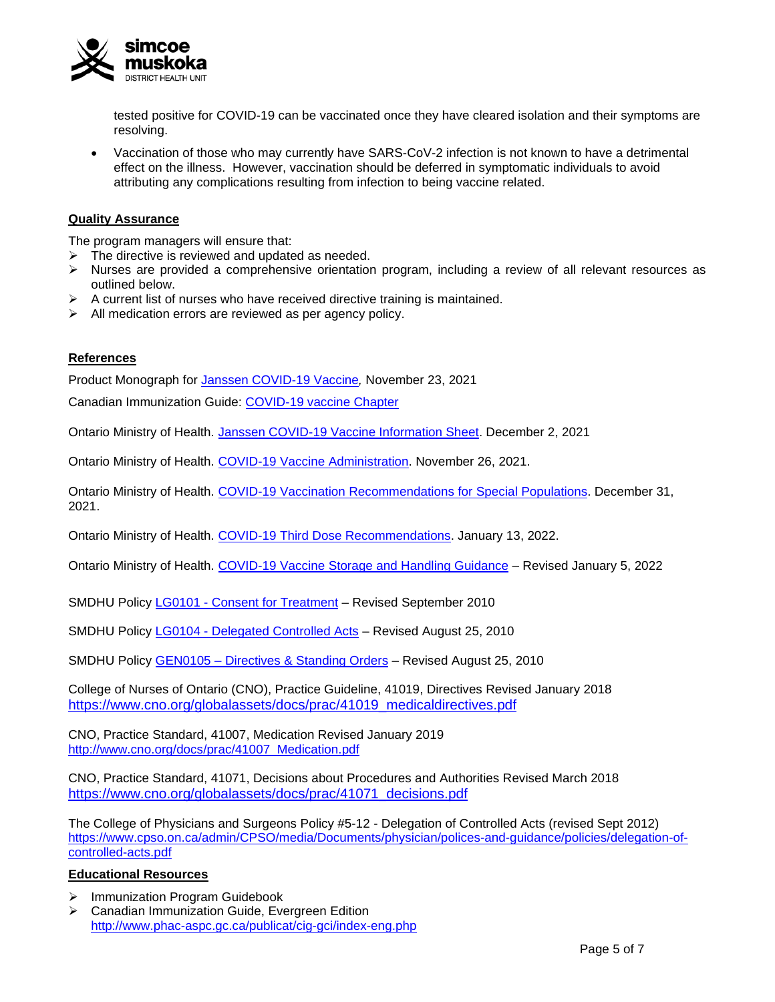

tested positive for COVID-19 can be vaccinated once they have cleared isolation and their symptoms are resolving.

• Vaccination of those who may currently have SARS-CoV-2 infection is not known to have a detrimental effect on the illness. However, vaccination should be deferred in symptomatic individuals to avoid attributing any complications resulting from infection to being vaccine related.

### **Quality Assurance**

The program managers will ensure that:

- $\triangleright$  The directive is reviewed and updated as needed.
- $\triangleright$  Nurses are provided a comprehensive orientation program, including a review of all relevant resources as outlined below.
- $\triangleright$  A current list of nurses who have received directive training is maintained.
- $\triangleright$  All medication errors are reviewed as per agency policy.

#### **References**

Product Monograph for Janssen [COVID-19](https://covid-vaccine.canada.ca/info/pdf/janssen-covid-19-vaccine-pm-en.pdf) Vaccine*,* November 23, 2021

Canadian Immunization Guide: [COVID-19 vaccine Chapter](https://www.canada.ca/en/public-health/services/publications/healthy-living/canadian-immunization-guide-part-4-active-vaccines/page-26-covid-19-vaccine.html)

Ontario Ministry of Health. Janssen COVID-19 [Vaccine Information Sheet.](https://www.health.gov.on.ca/en/pro/programs/publichealth/coronavirus/docs/vaccine/COVID-19_Janssen_Vaccine.pdf) December 2, 2021

Ontario Ministry of Health. COVID-19 [Vaccine Administration.](https://www.health.gov.on.ca/en/pro/programs/publichealth/coronavirus/docs/vaccine/COVID-19_vaccine_administration.pdf) November 26, 2021.

Ontario Ministry of Health. [COVID-19 Vaccination Recommendations for Special Populations.](https://www.health.gov.on.ca/en/pro/programs/publichealth/coronavirus/docs/vaccine/COVID-19_vaccination_rec_special_populations.pdf) December 31, 2021.

Ontario Ministry of Health. [COVID-19 Third Dose Recommendations.](https://www.health.gov.on.ca/en/pro/programs/publichealth/coronavirus/docs/vaccine/COVID-19_vaccine_third_dose_recommendations.pdf) January 13, 2022.

Ontario Ministry of Health. COVID-19 Vaccine [Storage and Handling](https://www.health.gov.on.ca/en/pro/programs/publichealth/coronavirus/docs/vaccine/vaccine_storage_handling_pfizer_moderna.pdf) Guidance – Revised January 5, 2022

SMDHU Policy LG0101 - [Consent for Treatment](http://intranet.smdhu.net/docs/default-source/policy_procedure_forms/lg0101consentfortreatment.pdf?sfvrsn=2) – Revised September 2010

SMDHU Policy LG0104 - [Delegated Controlled Acts](http://intranet.smdhu.net/docs/default-source/policy_procedure_forms/LG0104DelegationOfControlledActsIntranet.pdf?sfvrsn=2) – Revised August 25, 2010

SMDHU Policy GEN0105 – Directives [& Standing Orders](http://intranet.smdhu.net/docs/default-source/policy-procedure-forms/GEN0105DirectivesStandingOrdersIntranet.pdf?sfvrsn=0) – Revised August 25, 2010

College of Nurses of Ontario (CNO), Practice Guideline, 41019, Directives Revised January 2018 [https://www.cno.org/globalassets/docs/prac/41019\\_medicaldirectives.pdf](https://www.cno.org/globalassets/docs/prac/41019_medicaldirectives.pdf)

CNO, Practice Standard, 41007, Medication Revised January 2019 [http://www.cno.org/docs/prac/41007\\_Medication.pdf](http://www.cno.org/docs/prac/41007_Medication.pdf)

CNO, Practice Standard, 41071, Decisions about Procedures and Authorities Revised March 2018 [https://www.cno.org/globalassets/docs/prac/41071\\_decisions.pdf](https://www.cno.org/globalassets/docs/prac/41071_decisions.pdf)

The College of Physicians and Surgeons Policy #5-12 - Delegation of Controlled Acts (revised Sept 2012) [https://www.cpso.on.ca/admin/CPSO/media/Documents/physician/polices-and-guidance/policies/delegation-of](https://www.cpso.on.ca/admin/CPSO/media/Documents/physician/polices-and-guidance/policies/delegation-of-controlled-acts.pdf)[controlled-acts.pdf](https://www.cpso.on.ca/admin/CPSO/media/Documents/physician/polices-and-guidance/policies/delegation-of-controlled-acts.pdf)

#### **Educational Resources**

- > Immunization Program Guidebook
- Canadian Immunization Guide, Evergreen Edition <http://www.phac-aspc.gc.ca/publicat/cig-gci/index-eng.php>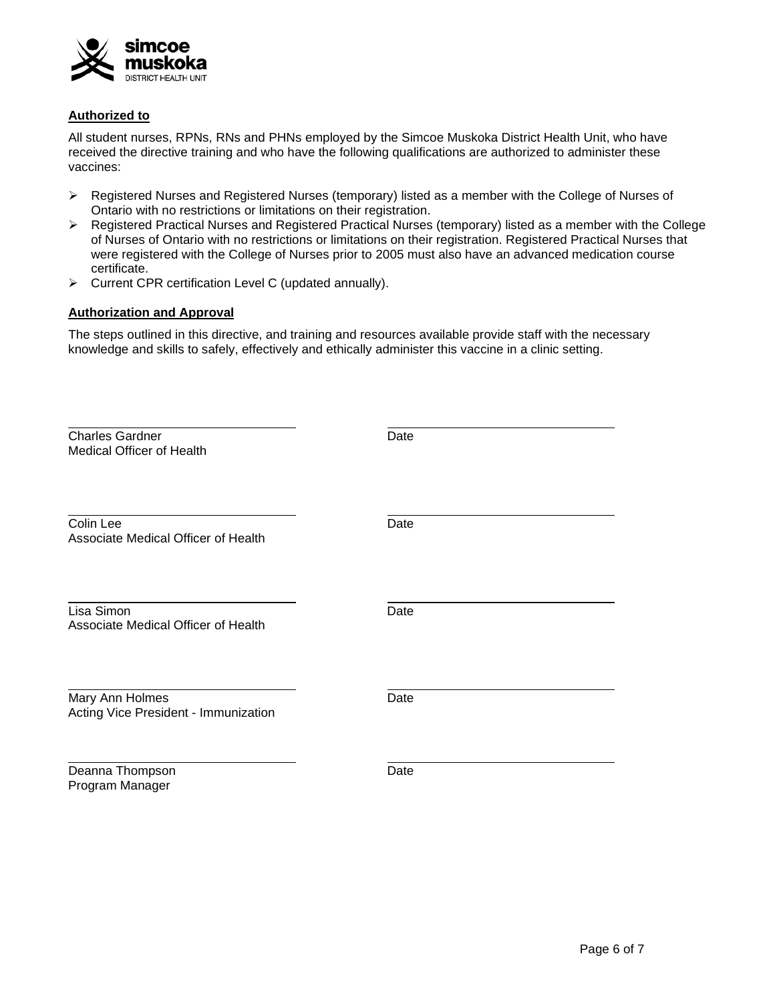

### **Authorized to**

All student nurses, RPNs, RNs and PHNs employed by the Simcoe Muskoka District Health Unit, who have received the directive training and who have the following qualifications are authorized to administer these vaccines:

- $\triangleright$  Registered Nurses and Registered Nurses (temporary) listed as a member with the College of Nurses of Ontario with no restrictions or limitations on their registration.
- $\triangleright$  Registered Practical Nurses and Registered Practical Nurses (temporary) listed as a member with the College of Nurses of Ontario with no restrictions or limitations on their registration. Registered Practical Nurses that were registered with the College of Nurses prior to 2005 must also have an advanced medication course certificate.
- Current CPR certification Level C (updated annually).

# **Authorization and Approval**

The steps outlined in this directive, and training and resources available provide staff with the necessary knowledge and skills to safely, effectively and ethically administer this vaccine in a clinic setting.

| <b>Charles Gardner</b><br><b>Medical Officer of Health</b> | Date |
|------------------------------------------------------------|------|
| Colin Lee<br>Associate Medical Officer of Health           | Date |
| Lisa Simon<br>Associate Medical Officer of Health          | Date |
| Mary Ann Holmes<br>Acting Vice President - Immunization    | Date |
| Deanna Thompson<br>Program Manager                         | Date |